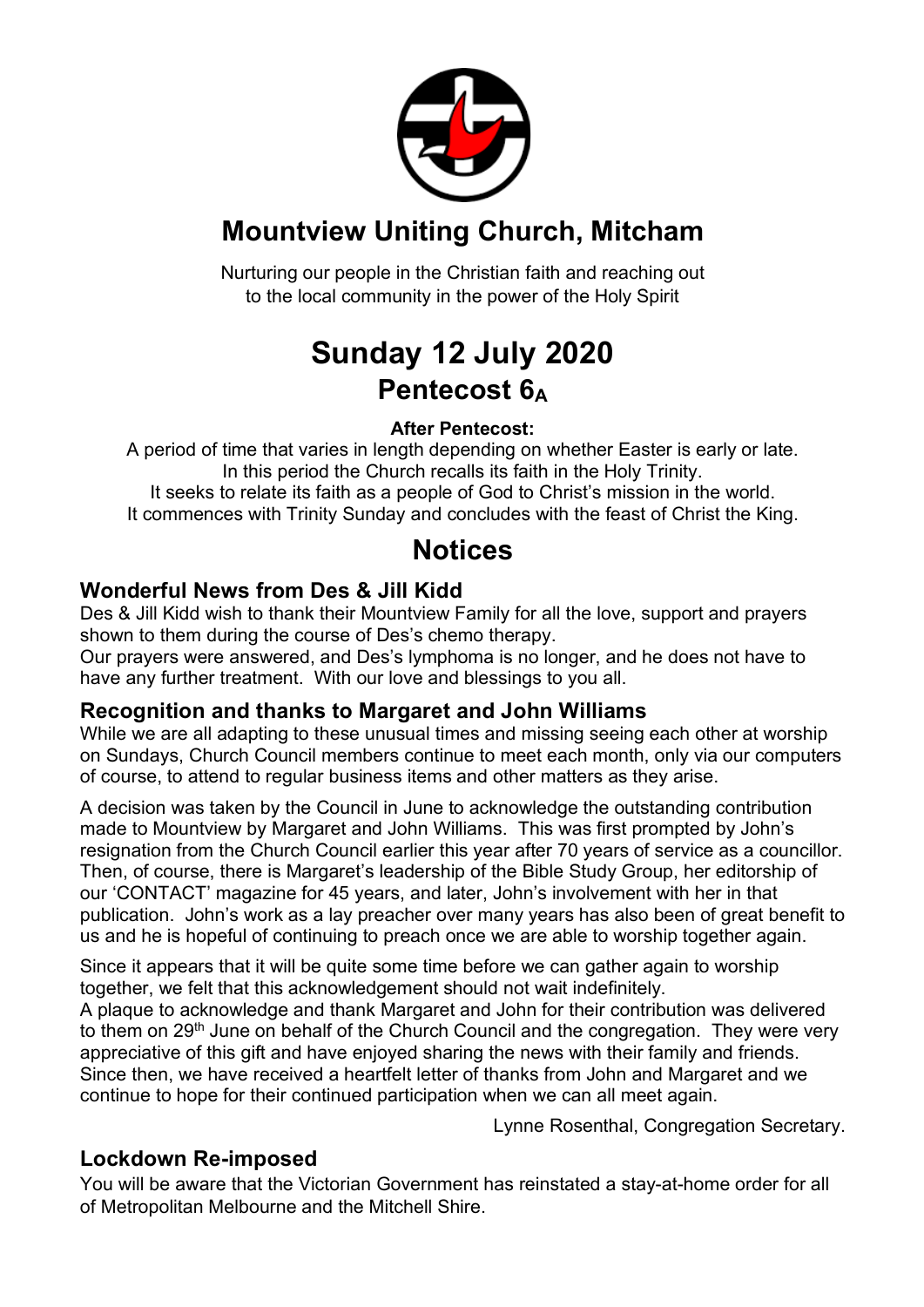

## **Mountview Uniting Church, Mitcham**

Nurturing our people in the Christian faith and reaching out to the local community in the power of the Holy Spirit

# **Sunday 12 July 2020 Pentecost 6A**

#### **After Pentecost:**

A period of time that varies in length depending on whether Easter is early or late. In this period the Church recalls its faith in the Holy Trinity.

It seeks to relate its faith as a people of God to Christ's mission in the world. It commences with Trinity Sunday and concludes with the feast of Christ the King.

### **Notices**

### **Wonderful News from Des & Jill Kidd**

Des & Jill Kidd wish to thank their Mountview Family for all the love, support and prayers shown to them during the course of Des's chemo therapy.

Our prayers were answered, and Des's lymphoma is no longer, and he does not have to have any further treatment. With our love and blessings to you all.

#### **Recognition and thanks to Margaret and John Williams**

While we are all adapting to these unusual times and missing seeing each other at worship on Sundays, Church Council members continue to meet each month, only via our computers of course, to attend to regular business items and other matters as they arise.

A decision was taken by the Council in June to acknowledge the outstanding contribution made to Mountview by Margaret and John Williams. This was first prompted by John's resignation from the Church Council earlier this year after 70 years of service as a councillor. Then, of course, there is Margaret's leadership of the Bible Study Group, her editorship of our 'CONTACT' magazine for 45 years, and later, John's involvement with her in that publication. John's work as a lay preacher over many years has also been of great benefit to us and he is hopeful of continuing to preach once we are able to worship together again.

Since it appears that it will be quite some time before we can gather again to worship together, we felt that this acknowledgement should not wait indefinitely.

A plaque to acknowledge and thank Margaret and John for their contribution was delivered to them on 29<sup>th</sup> June on behalf of the Church Council and the congregation. They were very appreciative of this gift and have enjoyed sharing the news with their family and friends. Since then, we have received a heartfelt letter of thanks from John and Margaret and we continue to hope for their continued participation when we can all meet again.

Lynne Rosenthal, Congregation Secretary.

### **Lockdown Re-imposed**

You will be aware that the Victorian Government has reinstated a stay-at-home order for all of Metropolitan Melbourne and the Mitchell Shire.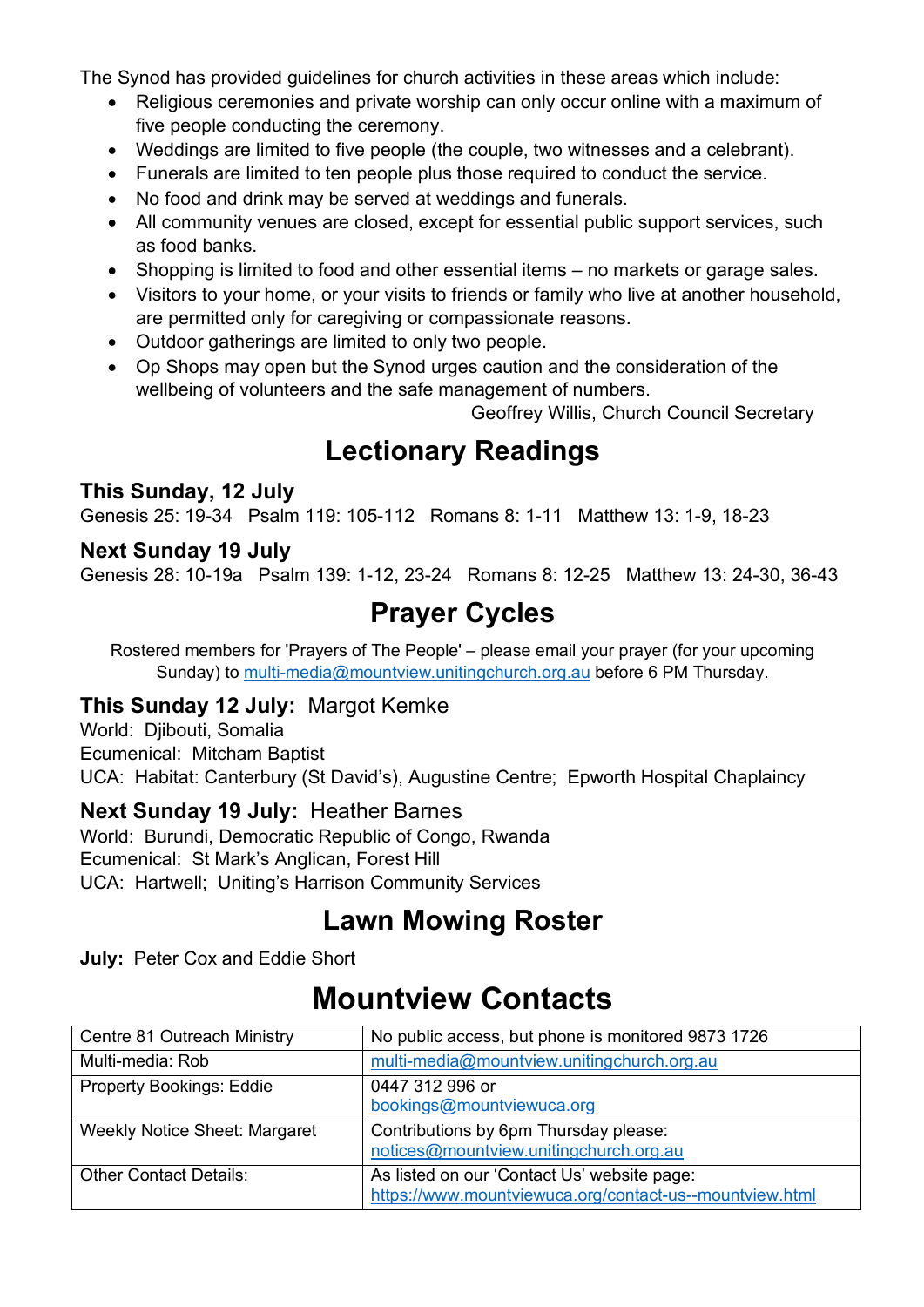The Synod has provided guidelines for church activities in these areas which include:

- Religious ceremonies and private worship can only occur online with a maximum of five people conducting the ceremony.
- Weddings are limited to five people (the couple, two witnesses and a celebrant).
- Funerals are limited to ten people plus those required to conduct the service.
- No food and drink may be served at weddings and funerals.
- All community venues are closed, except for essential public support services, such as food banks.
- Shopping is limited to food and other essential items no markets or garage sales.
- Visitors to your home, or your visits to friends or family who live at another household, are permitted only for caregiving or compassionate reasons.
- Outdoor gatherings are limited to only two people.
- Op Shops may open but the Synod urges caution and the consideration of the wellbeing of volunteers and the safe management of numbers.

Geoffrey Willis, Church Council Secretary

## **Lectionary Readings**

#### **This Sunday, 12 July**

Genesis 25: 19-34 Psalm 119: 105-112 Romans 8: 1-11 Matthew 13: 1-9, 18-23

#### **Next Sunday 19 July**

Genesis 28: 10-19a Psalm 139: 1-12, 23-24 Romans 8: 12-25 Matthew 13: 24-30, 36-43

### **Prayer Cycles**

Rostered members for 'Prayers of The People' – please email your prayer (for your upcoming Sunday) to multi-media@mountview.unitingchurch.org.au before 6 PM Thursday.

#### **This Sunday 12 July:** Margot Kemke

World: Djibouti, Somalia Ecumenical: Mitcham Baptist UCA: Habitat: Canterbury (St David's), Augustine Centre; Epworth Hospital Chaplaincy

#### **Next Sunday 19 July:** Heather Barnes

World: Burundi, Democratic Republic of Congo, Rwanda Ecumenical: St Mark's Anglican, Forest Hill UCA: Hartwell; Uniting's Harrison Community Services

### **Lawn Mowing Roster**

**July:** Peter Cox and Eddie Short

| Centre 81 Outreach Ministry          | No public access, but phone is monitored 9873 1726                                                     |
|--------------------------------------|--------------------------------------------------------------------------------------------------------|
| Multi-media: Rob                     | multi-media@mountview.unitingchurch.org.au                                                             |
| <b>Property Bookings: Eddie</b>      | 0447 312 996 or<br>bookings@mountviewuca.org                                                           |
| <b>Weekly Notice Sheet: Margaret</b> | Contributions by 6pm Thursday please:<br>notices@mountview.unitingchurch.org.au                        |
| <b>Other Contact Details:</b>        | As listed on our 'Contact Us' website page:<br>https://www.mountviewuca.org/contact-us--mountview.html |

## **Mountview Contacts**